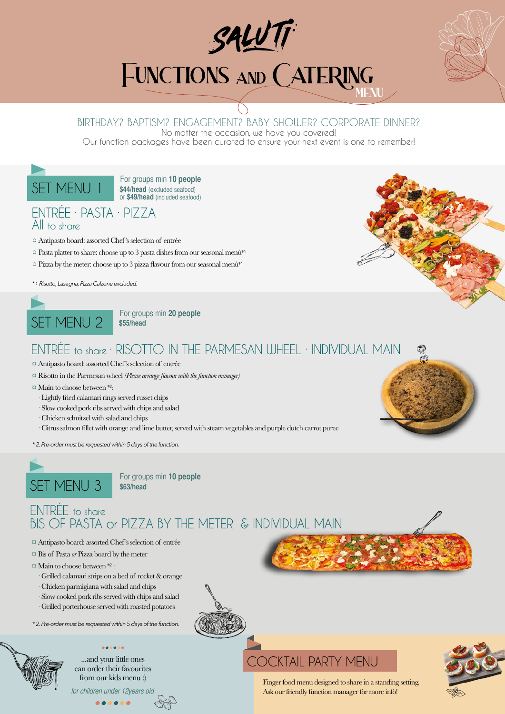

# **FUNCTIONS AND CATERING**

### BIRTHDAY? BAPTISM? ENGAGEMENT? BABY SHOWER? CORPORATE DINNER?

No matter the occasion, we have you covered!

Our function packages have been curated to ensure your next event is one to remember!

SET MENU 1 For groups min 10 people **\$44/head** (excluded seafood) or **\$49/head** (included seafood)

### ENTRÉE · PASTA · PIZZA All to share

- ¤ Antipasto board: assorted Chef's selection of entrée
- $\Box$  Pasta platter to share: choose up to 3 pasta dishes from our seasonal menù\*1
- $\alpha$  Pizza by the meter: choose up to 3 pizza flavour from our seasonal menù\*1

*\* 1. Risotto, Lasagna, Pizza Calzone excluded.*



**\$55/head**

### ENTRÉE to share · RISOTTO IN THE PARMESAN WHEEL · INDIVIDUAL MAIN

- ¤ Antipasto board: assorted Chef's selection of entrée
- ¤ Risotto in the Parmesan wheel *(Please arrange flavour with the function manager)*
- $\Box$  Main to choose between \*2:
	- · Lightly fried calamari rings served russet chips
	- · Slow cooked pork ribs served with chips and salad
	- · Chicken schnitzel with salad and chips
	- · Citrus salmon fillet with orange and lime butter, served with steam vegetables and purple dutch carrot puree
- *\* 2. Pre-order must be requested within 5 days of the function.*



**\$63/head**

### ENTRÉE to share BIS OF PASTA or PIZZA BY THE METER & INDIVIDUAL MAIN

- ¤ Antipasto board: assorted Chef's selection of entrée
- ¤ Bis of Pasta *or* Pizza board by the meter
- ¤ Main to choose between \*2 :
	- · Grilled calamari strips on a bed of rocket & orange
- · Chicken parmigiana with salad and chips
- · Slow cooked pork ribs served with chips and salad
- · Grilled porterhouse served with roasted potatoes

*\* 2. Pre-order must be requested within 5 days of the function.*



can order their favourites from our kids menu :)

for children under 12years old

# ...and your little ones COCKTAIL PARTY MENU



Finger food menu designed to share in a standing setting. Ask our friendly function manager for more info!